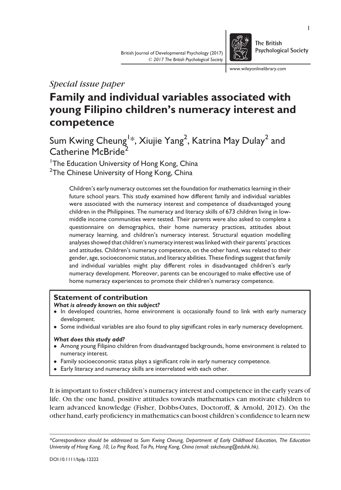

The British **Psychological Society** 

www.wileyonlinelibrary.com

# Special issue paper

# Family and individual variables associated with young Filipino children's numeracy interest and competence

Sum Kwing Cheung $^{\rm l}$ \*, Xiujie Yang $^{\rm 2}$ , Katrina May Dulay $^{\rm 2}$  and Catherine McBride<sup>®</sup>

<sup>1</sup>The Education University of Hong Kong, China

 $^{2}$ The Chinese University of Hong Kong, China

Children's early numeracy outcomes set the foundation for mathematics learning in their future school years. This study examined how different family and individual variables were associated with the numeracy interest and competence of disadvantaged young children in the Philippines. The numeracy and literacy skills of 673 children living in lowmiddle income communities were tested. Their parents were also asked to complete a questionnaire on demographics, their home numeracy practices, attitudes about numeracy learning, and children's numeracy interest. Structural equation modelling analyses showed that children's numeracy interest was linked with their parents' practices and attitudes. Children's numeracy competence, on the other hand, was related to their gender, age, socioeconomic status, and literacy abilities. These findings suggest that family and individual variables might play different roles in disadvantaged children's early numeracy development. Moreover, parents can be encouraged to make effective use of home numeracy experiences to promote their children's numeracy competence.

# Statement of contribution

What is already known on this subject?

- In developed countries, home environment is occasionally found to link with early numeracy development.
- Some individual variables are also found to play significant roles in early numeracy development.

#### What does this study add?

- Among young Filipino children from disadvantaged backgrounds, home environment is related to numeracy interest.
- Family socioeconomic status plays a significant role in early numeracy competence.
- Early literacy and numeracy skills are interrelated with each other.

It is important to foster children's numeracy interest and competence in the early years of life. On the one hand, positive attitudes towards mathematics can motivate children to learn advanced knowledge (Fisher, Dobbs-Oates, Doctoroff, & Arnold, 2012). On the other hand, early proficiency in mathematics can boost children's confidence to learn new

<sup>\*</sup>Correspondence should be addressed to Sum Kwing Cheung, Department of Early Childhood Education, The Education University of Hong Kong, 10, Lo Ping Road, Tai Po, Hong Kong, China (email: sskcheung@eduhk.hk).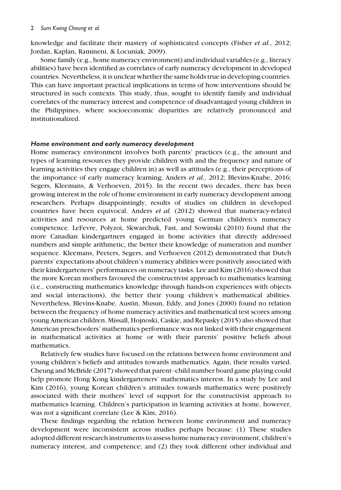#### 2 Sum Kwing Cheung et al.

knowledge and facilitate their mastery of sophisticated concepts (Fisher et al., 2012; Jordan, Kaplan, Ramineni, & Locuniak, 2009).

Some family (e.g., home numeracy environment) and individual variables (e.g., literacy abilities) have been identified as correlates of early numeracy development in developed countries. Nevertheless, it is unclear whether the same holds true in developing countries. This can have important practical implications in terms of how interventions should be structured in such contexts. This study, thus, sought to identify family and individual correlates of the numeracy interest and competence of disadvantaged young children in the Philippines, where socioeconomic disparities are relatively pronounced and institutionalized.

#### Home environment and early numeracy development

Home numeracy environment involves both parents' practices (e.g., the amount and types of learning resources they provide children with and the frequency and nature of learning activities they engage children in) as well as attitudes (e.g., their perceptions of the importance of early numeracy learning; Anders et al., 2012; Blevins-Knabe, 2016; Segers, Kleemans, & Verhoeven, 2015). In the recent two decades, there has been growing interest in the role of home environment in early numeracy development among researchers. Perhaps disappointingly, results of studies on children in developed countries have been equivocal. Anders et al. (2012) showed that numeracy-related activities and resources at home predicted young German children's numeracy competence. LeFevre, Polyzoi, Skwarchuk, Fast, and Sowinski (2010) found that the more Canadian kindergartners engaged in home activities that directly addressed numbers and simple arithmetic, the better their knowledge of numeration and number sequence. Kleemans, Peeters, Segers, and Verhoeven (2012) demonstrated that Dutch parents' expectations about children's numeracy abilities were positively associated with their kindergarteners' performances on numeracy tasks. Lee and Kim (2016) showed that the more Korean mothers favoured the constructivist approach to mathematics learning (i.e., constructing mathematics knowledge through hands-on experiences with objects and social interactions), the better their young children's mathematical abilities. Nevertheless, Blevins-Knabe, Austin, Musun, Eddy, and Jones (2000) found no relation between the frequency of home numeracy activities and mathematical test scores among young American children. Missall, Hojnoski, Caskie, and Repasky (2015) also showed that American preschoolers' mathematics performance was not linked with their engagement in mathematical activities at home or with their parents' positive beliefs about mathematics.

Relatively few studies have focused on the relations between home environment and young children's beliefs and attitudes towards mathematics. Again, their results varied. Cheung and McBride (2017) showed that parent–child number board game playing could help promote Hong Kong kindergarteners' mathematics interest. In a study by Lee and Kim (2016), young Korean children's attitudes towards mathematics were positively associated with their mothers' level of support for the constructivist approach to mathematics learning. Children's participation in learning activities at home, however, was not a significant correlate (Lee & Kim, 2016).

These findings regarding the relation between home environment and numeracy development were inconsistent across studies perhaps because: (1) These studies adopted different research instruments to assess home numeracy environment, children's numeracy interest, and competence; and (2) they took different other individual and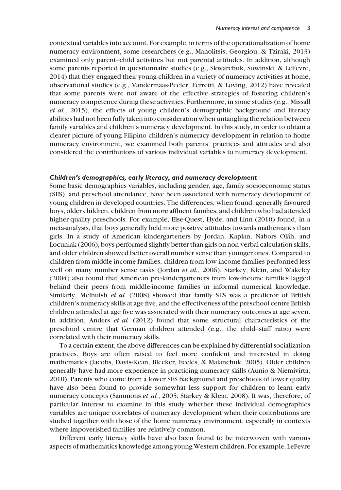contextual variables into account. For example, in terms of the operationalization of home numeracy environment, some researchers (e.g., Manolitsis, Georgiou, & Tziraki, 2013) examined only parent–child activities but not parental attitudes. In addition, although some parents reported in questionnaire studies (e.g., Skwarchuk, Sowinski, & LeFevre, 2014) that they engaged their young children in a variety of numeracy activities at home, observational studies (e.g., Vandermaas-Peeler, Ferretti, & Loving, 2012) have revealed that some parents were not aware of the effective strategies of fostering children's numeracy competence during these activities. Furthermore, in some studies (e.g., Missall et al., 2015), the effects of young children's demographic background and literacy abilities had not been fully taken into consideration when untangling the relation between family variables and children's numeracy development. In this study, in order to obtain a clearer picture of young Filipino children's numeracy development in relation to home numeracy environment, we examined both parents' practices and attitudes and also considered the contributions of various individual variables to numeracy development.

### Children's demographics, early literacy, and numeracy development

Some basic demographics variables, including gender, age, family socioeconomic status (SES), and preschool attendance, have been associated with numeracy development of young children in developed countries. The differences, when found, generally favoured boys, older children, children from more affluent families, and children who had attended higher-quality preschools. For example, Else-Quest, Hyde, and Linn (2010) found, in a meta-analysis, that boys generally held more positive attitudes towards mathematics than girls. In a study of American kindergarteners by Jordan, Kaplan, Nabors Olah, and Locuniak (2006), boys performed slightly better than girls on non-verbal calculation skills, and older children showed better overall number sense than younger ones. Compared to children from middle-income families, children from low-income families performed less well on many number sense tasks (Jordan et al., 2006). Starkey, Klein, and Wakeley (2004) also found that American pre-kindergarteners from low-income families lagged behind their peers from middle-income families in informal numerical knowledge. Similarly, Melhuish et al. (2008) showed that family SES was a predictor of British children's numeracy skills at age five, and the effectiveness of the preschool centre British children attended at age five was associated with their numeracy outcomes at age seven. In addition, Anders *et al.* (2012) found that some structural characteristics of the preschool centre that German children attended (e.g., the child–staff ratio) were correlated with their numeracy skills.

To a certain extent, the above differences can be explained by differential socialization practices. Boys are often raised to feel more confident and interested in doing mathematics (Jacobs, Davis-Kean, Bleeker, Eccles, & Malanchuk, 2005). Older children generally have had more experience in practicing numeracy skills (Aunio & Niemivirta, 2010). Parents who come from a lower SES background and preschools of lower quality have also been found to provide somewhat less support for children to learn early numeracy concepts (Sammons *et al.*, 2005; Starkey & Klein, 2008). It was, therefore, of particular interest to examine in this study whether these individual demographics variables are unique correlates of numeracy development when their contributions are studied together with those of the home numeracy environment, especially in contexts where impoverished families are relatively common.

Different early literacy skills have also been found to be interwoven with various aspects of mathematics knowledge among young Western children. For example, LeFevre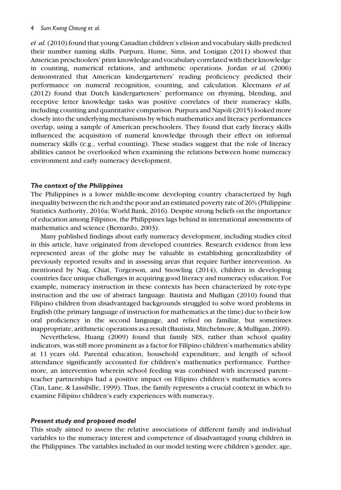#### 4 Sum Kwing Cheung et al.

et al. (2010) found that young Canadian children's elision and vocabulary skills predicted their number naming skills. Purpura, Hume, Sims, and Lonigan (2011) showed that American preschoolers' print knowledge and vocabulary correlated with their knowledge in counting, numerical relations, and arithmetic operations. Jordan et al. (2006) demonstrated that American kindergarteners' reading proficiency predicted their performance on numeral recognition, counting, and calculation. Kleemans et al. (2012) found that Dutch kindergarteners' performance on rhyming, blending, and receptive letter knowledge tasks was positive correlates of their numeracy skills, including counting and quantitative comparison. Purpura and Napoli (2015) looked more closely into the underlying mechanisms by which mathematics and literacy performances overlap, using a sample of American preschoolers. They found that early literacy skills influenced the acquisition of numeral knowledge through their effect on informal numeracy skills (e.g., verbal counting). These studies suggest that the role of literacy abilities cannot be overlooked when examining the relations between home numeracy environment and early numeracy development.

#### The context of the Philippines

The Philippines is a lower middle-income developing country characterized by high inequality between the rich and the poor and an estimated poverty rate of 26% (Philippine Statistics Authority, 2016a; World Bank, 2016). Despite strong beliefs on the importance of education among Filipinos, the Philippines lags behind in international assessments of mathematics and science (Bernardo, 2003).

Many published findings about early numeracy development, including studies cited in this article, have originated from developed countries. Research evidence from less represented areas of the globe may be valuable in establishing generalizability of previously reported results and in assessing areas that require further intervention. As mentioned by Nag, Chiat, Torgerson, and Snowling (2014), children in developing countries face unique challenges in acquiring good literacy and numeracy education. For example, numeracy instruction in these contexts has been characterized by rote-type instruction and the use of abstract language. Bautista and Mulligan (2010) found that Filipino children from disadvantaged backgrounds struggled to solve word problems in English (the primary language of instruction for mathematics at the time) due to their low oral proficiency in the second language, and relied on familiar, but sometimes inappropriate, arithmetic operations as a result (Bautista, Mitchelmore, & Mulligan, 2009).

Nevertheless, Huang (2009) found that family SES, rather than school quality indicators, was still more prominent as a factor for Filipino children's mathematics ability at 11 years old. Parental education, household expenditure, and length of school attendance significantly accounted for children's mathematics performance. Furthermore, an intervention wherein school feeding was combined with increased parent– teacher partnerships had a positive impact on Filipino children's mathematics scores (Tan, Lane, & Lassibille, 1999). Thus, the family represents a crucial context in which to examine Filipino children's early experiences with numeracy.

#### Present study and proposed model

This study aimed to assess the relative associations of different family and individual variables to the numeracy interest and competence of disadvantaged young children in the Philippines. The variables included in our model testing were children's gender, age,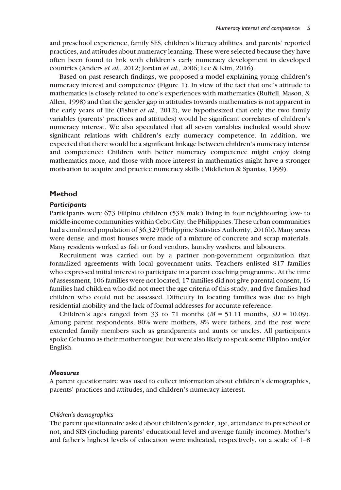and preschool experience, family SES, children's literacy abilities, and parents' reported practices, and attitudes about numeracy learning. These were selected because they have often been found to link with children's early numeracy development in developed countries (Anders et al., 2012; Jordan et al., 2006; Lee & Kim, 2016).

Based on past research findings, we proposed a model explaining young children's numeracy interest and competence (Figure 1). In view of the fact that one's attitude to mathematics is closely related to one's experiences with mathematics (Ruffell, Mason, & Allen, 1998) and that the gender gap in attitudes towards mathematics is not apparent in the early years of life (Fisher *et al.*, 2012), we hypothesized that only the two family variables (parents' practices and attitudes) would be significant correlates of children's numeracy interest. We also speculated that all seven variables included would show significant relations with children's early numeracy competence. In addition, we expected that there would be a significant linkage between children's numeracy interest and competence: Children with better numeracy competence might enjoy doing mathematics more, and those with more interest in mathematics might have a stronger motivation to acquire and practice numeracy skills (Middleton & Spanias, 1999).

# Method

#### **Participants**

Participants were 673 Filipino children (53% male) living in four neighbouring low- to middle-income communities within Cebu City, the Philippines. These urban communities had a combined population of 36,329 (Philippine Statistics Authority, 2016b). Many areas were dense, and most houses were made of a mixture of concrete and scrap materials. Many residents worked as fish or food vendors, laundry washers, and labourers.

Recruitment was carried out by a partner non-government organization that formalized agreements with local government units. Teachers enlisted 817 families who expressed initial interest to participate in a parent coaching programme. At the time of assessment, 106 families were not located, 17 families did not give parental consent, 16 families had children who did not meet the age criteria of this study, and five families had children who could not be assessed. Difficulty in locating families was due to high residential mobility and the lack of formal addresses for accurate reference.

Children's ages ranged from 33 to 71 months ( $M = 51.11$  months,  $SD = 10.09$ ). Among parent respondents, 80% were mothers, 8% were fathers, and the rest were extended family members such as grandparents and aunts or uncles. All participants spoke Cebuano as their mother tongue, but were also likely to speak some Filipino and/or English.

#### **Measures**

A parent questionnaire was used to collect information about children's demographics, parents' practices and attitudes, and children's numeracy interest.

#### Children's demographics

The parent questionnaire asked about children's gender, age, attendance to preschool or not, and SES (including parents' educational level and average family income). Mother's and father's highest levels of education were indicated, respectively, on a scale of 1–8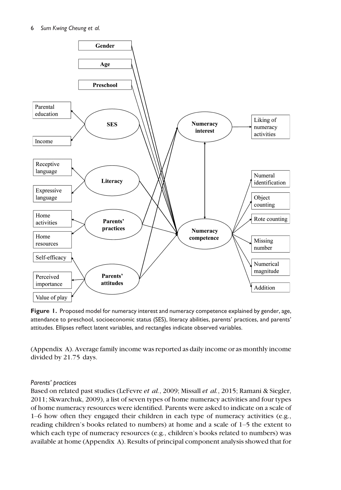

Figure 1. Proposed model for numeracy interest and numeracy competence explained by gender, age, attendance to preschool, socioeconomic status (SES), literacy abilities, parents' practices, and parents' attitudes. Ellipses reflect latent variables, and rectangles indicate observed variables.

(Appendix A). Average family income was reported as daily income or as monthly income divided by 21.75 days.

# Parents' practices

Based on related past studies (LeFevre et al., 2009; Missall et al., 2015; Ramani & Siegler, 2011; Skwarchuk, 2009), a list of seven types of home numeracy activities and four types of home numeracy resources were identified. Parents were asked to indicate on a scale of 1–6 how often they engaged their children in each type of numeracy activities (e.g., reading children's books related to numbers) at home and a scale of 1–5 the extent to which each type of numeracy resources (e.g., children's books related to numbers) was available at home (Appendix A). Results of principal component analysis showed that for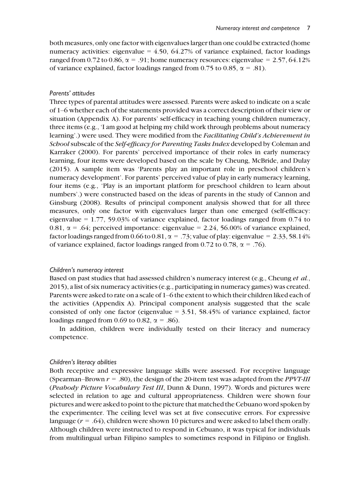both measures, only one factor with eigenvalues larger than one could be extracted (home numeracy activities: eigenvalue =  $4.50, 64.27\%$  of variance explained, factor loadings ranged from 0.72 to 0.86,  $\alpha$  = .91; home numeracy resources: eigenvalue = 2.57, 64.12% of variance explained, factor loadings ranged from 0.75 to 0.85,  $\alpha = .81$ ).

#### Parents' attitudes

Three types of parental attitudes were assessed. Parents were asked to indicate on a scale of 1–6 whether each of the statements provided was a correct description of their view or situation (Appendix A). For parents' self-efficacy in teaching young children numeracy, three items (e.g., 'I am good at helping my child work through problems about numeracy learning'.) were used. They were modified from the *Facilitating Child's Achievement in* School subscale of the Self-efficacy for Parenting Tasks Index developed by Coleman and Karraker (2000). For parents' perceived importance of their roles in early numeracy learning, four items were developed based on the scale by Cheung, McBride, and Dulay (2015). A sample item was 'Parents play an important role in preschool children's numeracy development'. For parents' perceived value of play in early numeracy learning, four items (e.g., 'Play is an important platform for preschool children to learn about numbers'.) were constructed based on the ideas of parents in the study of Cannon and Ginsburg (2008). Results of principal component analysis showed that for all three measures, only one factor with eigenvalues larger than one emerged (self-efficacy: eigenvalue =  $1.77$ , 59.03% of variance explained, factor loadings ranged from 0.74 to 0.81,  $\alpha$  = .64; perceived importance: eigenvalue = 2.24, 56.00% of variance explained, factor loadings ranged from 0.66 to 0.81,  $\alpha = .73$ ; value of play: eigenvalue = 2.33, 58.14% of variance explained, factor loadings ranged from 0.72 to 0.78,  $\alpha = .76$ ).

#### Children's numeracy interest

Based on past studies that had assessed children's numeracy interest (e.g., Cheung *et al.*, 2015), a list of six numeracy activities (e.g., participating in numeracy games) was created. Parents were asked to rate on a scale of 1–6 the extent to which their children liked each of the activities (Appendix A). Principal component analysis suggested that the scale consisted of only one factor (eigenvalue  $= 3.51, 58.45\%$  of variance explained, factor loadings ranged from 0.69 to 0.82,  $\alpha$  = .86).

In addition, children were individually tested on their literacy and numeracy competence.

#### Children's literacy abilities

Both receptive and expressive language skills were assessed. For receptive language (Spearman–Brown  $r = .80$ ), the design of the 20-item test was adapted from the *PPVT-III* (Peabody Picture Vocabulary Test III, Dunn & Dunn, 1997). Words and pictures were selected in relation to age and cultural appropriateness. Children were shown four pictures and were asked to point to the picture that matched the Cebuano word spoken by the experimenter. The ceiling level was set at five consecutive errors. For expressive language  $(r = .64)$ , children were shown 10 pictures and were asked to label them orally. Although children were instructed to respond in Cebuano, it was typical for individuals from multilingual urban Filipino samples to sometimes respond in Filipino or English.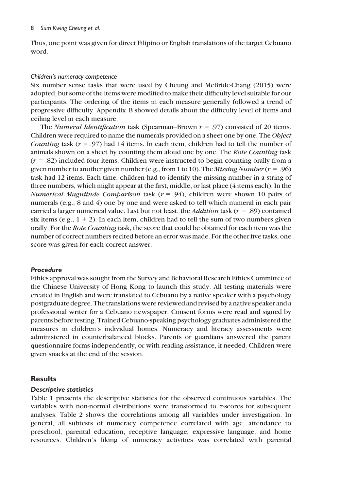Thus, one point was given for direct Filipino or English translations of the target Cebuano word.

### Children's numeracy competence

Six number sense tasks that were used by Cheung and McBride-Chang (2015) were adopted, but some of the items were modified to make their difficulty level suitable for our participants. The ordering of the items in each measure generally followed a trend of progressive difficulty. Appendix B showed details about the difficulty level of items and ceiling level in each measure.

The *Numeral Identification* task (Spearman–Brown  $r = .97$ ) consisted of 20 items. Children were required to name the numerals provided on a sheet one by one. The Object *Counting task (r = .97)* had 14 items. In each item, children had to tell the number of animals shown on a sheet by counting them aloud one by one. The Rote Counting task  $(r = .82)$  included four items. Children were instructed to begin counting orally from a given number to another given number (e.g., from 1 to 10). The *Missing Number* ( $r = .96$ ) task had 12 items. Each time, children had to identify the missing number in a string of three numbers, which might appear at the first, middle, or last place (4 items each). In the Numerical Magnitude Comparison task  $(r = .94)$ , children were shown 10 pairs of numerals (e.g., 8 and 4) one by one and were asked to tell which numeral in each pair carried a larger numerical value. Last but not least, the *Addition* task ( $r = .89$ ) contained six items (e.g.,  $1 + 2$ ). In each item, children had to tell the sum of two numbers given orally. For the Rote Counting task, the score that could be obtained for each item was the number of correct numbers recited before an error was made. For the other five tasks, one score was given for each correct answer.

### Procedure

Ethics approval was sought from the Survey and Behavioral Research Ethics Committee of the Chinese University of Hong Kong to launch this study. All testing materials were created in English and were translated to Cebuano by a native speaker with a psychology postgraduate degree. The translations were reviewed and revised by a native speaker and a professional writer for a Cebuano newspaper. Consent forms were read and signed by parents before testing. Trained Cebuano-speaking psychology graduates administered the measures in children's individual homes. Numeracy and literacy assessments were administered in counterbalanced blocks. Parents or guardians answered the parent questionnaire forms independently, or with reading assistance, if needed. Children were given snacks at the end of the session.

# Results

### Descriptive statistics

Table 1 presents the descriptive statistics for the observed continuous variables. The variables with non-normal distributions were transformed to z-scores for subsequent analyses. Table 2 shows the correlations among all variables under investigation. In general, all subtests of numeracy competence correlated with age, attendance to preschool, parental education, receptive language, expressive language, and home resources. Children's liking of numeracy activities was correlated with parental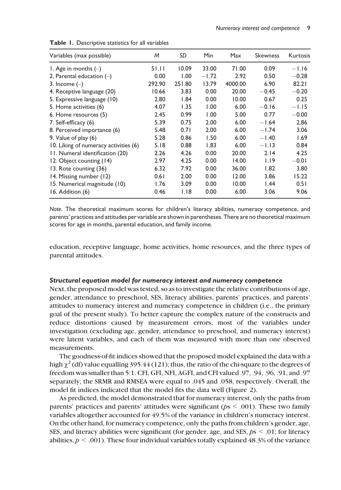| Variables (max possible)              | M      | SD     | <b>Min</b> | Max     | <b>Skewness</b> | Kurtosis |
|---------------------------------------|--------|--------|------------|---------|-----------------|----------|
| 1. Age in months $(-)$                | 51.11  | 10.09  | 33.00      | 71.00   | 0.09            | $-1.16$  |
| 2. Parental education $(-)$           | 0.00   | 1.00   | $-1.72$    | 2.92    | 0.50            | $-0.28$  |
| 3. Income $(-)$                       | 292.90 | 251.80 | 13.79      | 4000.00 | 6.90            | 82.21    |
| 4. Receptive language (20)            | 10.66  | 3.83   | 0.00       | 20.00   | $-0.45$         | $-0.20$  |
| 5. Expressive language (10)           | 2.80   | 1.84   | 0.00       | 10.00   | 0.67            | 0.25     |
| 5. Home activities (6)                | 4.07   | 1.35   | 1.00       | 6.00    | $-0.16$         | $-1.15$  |
| 6. Home resources (5)                 | 2.45   | 0.99   | 1.00       | 5.00    | 0.77            | $-0.00$  |
| 7. Self-efficacy (6)                  | 5.39   | 0.75   | 2.00       | 6.00    | $-1.64$         | 2.86     |
| 8. Perceived importance (6)           | 5.48   | 0.71   | 2.00       | 6.00    | $-1.74$         | 3.06     |
| 9. Value of play (6)                  | 5.28   | 0.86   | 1.50       | 6.00    | $-1.40$         | 1.69     |
| 10. Liking of numeracy activities (6) | 5.18   | 0.88   | 1.83       | 6.00    | $-1.13$         | 0.84     |
| 11. Numeral identification (20)       | 2.26   | 4.26   | 0.00       | 20.00   | 2.14            | 4.25     |
| 12. Object counting (14)              | 2.97   | 4.25   | 0.00       | 14.00   | 1.19            | $-0.01$  |
| 13. Rote counting (36)                | 6.32   | 7.92   | 0.00       | 36.00   | 1.82            | 3.80     |
| 14. Missing number (12)               | 0.61   | 2.00   | 0.00       | 12.00   | 3.86            | 15.22    |
| 15. Numerical magnitude (10)          | 1.76   | 3.09   | 0.00       | 10.00   | 1.44            | 0.51     |
| 16. Addition (6)                      | 0.46   | 1.18   | 0.00       | 6.00    | 3.06            | 9.06     |

Table 1. Descriptive statistics for all variables

Note. The theoretical maximum scores for children's literacy abilities, numeracy competence, and parents' practices and attitudes per variable are shown in parentheses. There are no theoretical maximum scores for age in months, parental education, and family income.

education, receptive language, home activities, home resources, and the three types of parental attitudes.

#### Structural equation model for numeracy interest and numeracy competence

Next, the proposed model was tested, so as to investigate the relative contributions of age, gender, attendance to preschool, SES, literacy abilities, parents' practices, and parents' attitudes to numeracy interest and numeracy competence in children (i.e., the primary goal of the present study). To better capture the complex nature of the constructs and reduce distortions caused by measurement errors, most of the variables under investigation (excluding age, gender, attendance to preschool, and numeracy interest) were latent variables, and each of them was measured with more than one observed measurements.

The goodness-of-fit indices showed that the proposed model explained the data with a high  $\chi^2$  (df) value equalling 395.44 (121); thus, the ratio of the chi-square to the degrees of freedom was smaller than 5:1. CFI, GFI, NFI, AGFI, and CFI valued .97, .94, .96, .91, and .97 separately; the SRMR and RMSEA were equal to .045 and .058, respectively. Overall, the model fit indices indicated that the model fits the data well (Figure 2).

As predicted, the model demonstrated that for numeracy interest, only the paths from parents' practices and parents' attitudes were significant ( $ps < .001$ ). These two family variables altogether accounted for 49.5% of the variance in children's numeracy interest. On the other hand, for numeracy competence, only the paths from children's gender, age, SES, and literacy abilities were significant (for gender, age, and SES,  $ps < .01$ ; for literacy abilities,  $p < .001$ ). These four individual variables totally explained 48.3% of the variance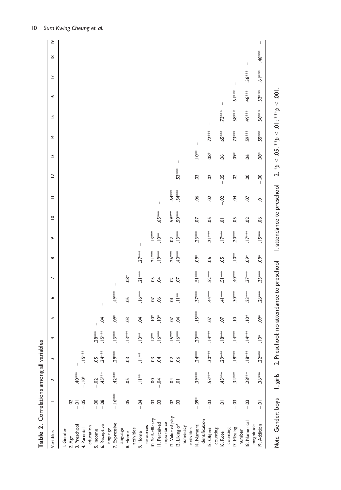| i<br>}<br>}                                                                                                                                      | ;;; , :;; Sinnain, ::?;;;; , ::?) |                                |                   | )<br>District        |                       |                       |                           |                       |                  |                    |                    |                |                           |                                                                                                                                                                                                                                                                                                                                                                                              |                  |                          |                                                                                                                                                                                                                                                                                                                                                                                              |                         |                          |
|--------------------------------------------------------------------------------------------------------------------------------------------------|-----------------------------------|--------------------------------|-------------------|----------------------|-----------------------|-----------------------|---------------------------|-----------------------|------------------|--------------------|--------------------|----------------|---------------------------|----------------------------------------------------------------------------------------------------------------------------------------------------------------------------------------------------------------------------------------------------------------------------------------------------------------------------------------------------------------------------------------------|------------------|--------------------------|----------------------------------------------------------------------------------------------------------------------------------------------------------------------------------------------------------------------------------------------------------------------------------------------------------------------------------------------------------------------------------------------|-------------------------|--------------------------|
| Variables                                                                                                                                        |                                   | $\sim$                         | S                 | 4                    | S                     | o                     | $\overline{ }$            | $\infty$              | ò                | $\subseteq$        | $\equiv$           | $\overline{2}$ | $\tilde{ }$               | $\overline{4}$                                                                                                                                                                                                                                                                                                                                                                               | $\overline{5}$   | $\tilde{=}$              | $\overline{\phantom{0}}$                                                                                                                                                                                                                                                                                                                                                                     | $\frac{\infty}{\infty}$ | $\frac{6}{1}$            |
| I. Gender<br>2. Age                                                                                                                              | $-02$                             |                                |                   |                      |                       |                       |                           |                       |                  |                    |                    |                |                           |                                                                                                                                                                                                                                                                                                                                                                                              |                  |                          |                                                                                                                                                                                                                                                                                                                                                                                              |                         |                          |
| 3. Preschool                                                                                                                                     | $\overline{q}$                    | $-40***$                       |                   |                      |                       |                       |                           |                       |                  |                    |                    |                |                           |                                                                                                                                                                                                                                                                                                                                                                                              |                  |                          |                                                                                                                                                                                                                                                                                                                                                                                              |                         |                          |
| 4. Parental                                                                                                                                      | $-0.5$                            | $\sum_{i=1}^{n}$               | $.15***$          | I                    |                       |                       |                           |                       |                  |                    |                    |                |                           |                                                                                                                                                                                                                                                                                                                                                                                              |                  |                          |                                                                                                                                                                                                                                                                                                                                                                                              |                         |                          |
| education                                                                                                                                        |                                   |                                |                   |                      |                       |                       |                           |                       |                  |                    |                    |                |                           |                                                                                                                                                                                                                                                                                                                                                                                              |                  |                          |                                                                                                                                                                                                                                                                                                                                                                                              |                         |                          |
| 6. Receptive<br>5. Income                                                                                                                        | $-08$<br>$-00$                    | $45***$<br>$-02$               | $.34***$<br>$-50$ | $.28***$<br>$.15***$ | S.                    | Ï                     |                           |                       |                  |                    |                    |                |                           |                                                                                                                                                                                                                                                                                                                                                                                              |                  |                          |                                                                                                                                                                                                                                                                                                                                                                                              |                         |                          |
| 7. Expressive<br>language                                                                                                                        | $-16***$                          | $42***$                        | $.29***$          | $.13***$             | $\sum_{i=1}^{\infty}$ | $49***$               | I                         |                       |                  |                    |                    |                |                           |                                                                                                                                                                                                                                                                                                                                                                                              |                  |                          |                                                                                                                                                                                                                                                                                                                                                                                              |                         |                          |
| language<br>8. Home                                                                                                                              | $-0.5$                            | $-0.5$                         | $-03$             | $.13***$             | CO.                   | 05                    | $\overset{*}{\mathbf{8}}$ |                       |                  |                    |                    |                |                           |                                                                                                                                                                                                                                                                                                                                                                                              |                  |                          |                                                                                                                                                                                                                                                                                                                                                                                              |                         |                          |
| activities                                                                                                                                       |                                   |                                |                   |                      |                       |                       |                           |                       |                  |                    |                    |                |                           |                                                                                                                                                                                                                                                                                                                                                                                              |                  |                          |                                                                                                                                                                                                                                                                                                                                                                                              |                         |                          |
| 9. Home                                                                                                                                          | $-0.4$                            | $\frac{1}{2}$                  | $\frac{1}{2}$     | $.13**$              | PO.                   | .∣6 <sup>**</sup>     | $.21***$                  | $.27***$              | $\mathbf{I}$     |                    |                    |                |                           |                                                                                                                                                                                                                                                                                                                                                                                              |                  |                          |                                                                                                                                                                                                                                                                                                                                                                                              |                         |                          |
| 0. Self-efficacy<br>resources                                                                                                                    | Sc                                | $-0.0$                         |                   | $.12***$             | Ő.                    | $\overline{c}$        |                           | $21***$               | $.13***$         |                    |                    |                |                           |                                                                                                                                                                                                                                                                                                                                                                                              |                  |                          |                                                                                                                                                                                                                                                                                                                                                                                              |                         |                          |
| II. Perceived                                                                                                                                    | S                                 | $-5$                           | g g               | $.16***$             | Ő.                    | 06                    | 5 g                       | $.19***$              | $\sum_{i=1}^{n}$ | $65***$            |                    |                |                           |                                                                                                                                                                                                                                                                                                                                                                                              |                  |                          |                                                                                                                                                                                                                                                                                                                                                                                              |                         |                          |
| 12. Value of play<br>importance                                                                                                                  | $-0.2$                            |                                |                   | $.15***$             | S.                    | $\overline{a}$        |                           | $.26***$              | So               | <b>59***</b>       | $64***$            |                |                           |                                                                                                                                                                                                                                                                                                                                                                                              |                  |                          |                                                                                                                                                                                                                                                                                                                                                                                              |                         |                          |
| 13. Liking of                                                                                                                                    | C <sub>3</sub>                    | $\frac{1}{2}$ or $\frac{1}{2}$ | $\frac{2}{3}$     | $.16***$             | $\ddot{a}$            | $\sum_{n=1}^{\infty}$ | $\frac{5}{2}$             | .40***                | $.13***$         | $50***$            | <b>54***</b>       | $.53***$       | $\vert$                   |                                                                                                                                                                                                                                                                                                                                                                                              |                  |                          |                                                                                                                                                                                                                                                                                                                                                                                              |                         |                          |
| numeracy<br>activities                                                                                                                           |                                   |                                |                   |                      |                       |                       |                           |                       |                  |                    |                    |                |                           |                                                                                                                                                                                                                                                                                                                                                                                              |                  |                          |                                                                                                                                                                                                                                                                                                                                                                                              |                         |                          |
| identification<br>4. Numeral                                                                                                                     | $-0.04$                           | $.39***$                       | $.24***$          | $.20***$             | $.15***$              | $37***$               | ≸*<br>.5   *              | $\overset{*}{\circ}$  | $.23***$         | CO.                | 8.                 | $\overline{0}$ | $\sum_{i=1}^{n}$          | $\overline{1}$                                                                                                                                                                                                                                                                                                                                                                               |                  |                          |                                                                                                                                                                                                                                                                                                                                                                                              |                         |                          |
| 5. Object                                                                                                                                        | $-03$                             | $.53***$                       | $.30***$          | $14***$              | $\overline{c}$        | $44***$               | $.52***$                  | 80                    | $21***$          | <b>95</b>          | SO.                | $\overline{0}$ | $\overset{*}{\mathbf{6}}$ | $\begin{array}{c} \rule{0pt}{2.5ex} \rule{0pt}{2.5ex} \rule{0pt}{2.5ex} \rule{0pt}{2.5ex} \rule{0pt}{2.5ex} \rule{0pt}{2.5ex} \rule{0pt}{2.5ex} \rule{0pt}{2.5ex} \rule{0pt}{2.5ex} \rule{0pt}{2.5ex} \rule{0pt}{2.5ex} \rule{0pt}{2.5ex} \rule{0pt}{2.5ex} \rule{0pt}{2.5ex} \rule{0pt}{2.5ex} \rule{0pt}{2.5ex} \rule{0pt}{2.5ex} \rule{0pt}{2.5ex} \rule{0pt}{2.5ex} \rule{0$<br>$.72***$ |                  |                          |                                                                                                                                                                                                                                                                                                                                                                                              |                         |                          |
| counting<br>16. Rote                                                                                                                             | ā                                 | $45***$                        | $.29***$          | $.18***$             | S.                    | $4$  ***              | ***.                      | ξÓ.                   | $.17***$         | $\overline{\circ}$ | $-02$              | $-0.5$         | $\frac{8}{1}$             | $.65***$                                                                                                                                                                                                                                                                                                                                                                                     | $.73***$         | $\overline{\phantom{a}}$ |                                                                                                                                                                                                                                                                                                                                                                                              |                         |                          |
| 17. Missing<br>counting                                                                                                                          | $-03$                             | $.34***$                       | $.18***$          | $.14***$             | $\equiv$              | $30***$               | .40 <sup>*</sup> **       | $\sum_{i=1}^{n}$      | $20***$          | SO.                | Ś.                 | $\overline{c}$ | $\sum_{i=0}^{+\infty}$    | $.73***$                                                                                                                                                                                                                                                                                                                                                                                     | 58 <sup>**</sup> | $\frac{1}{2}$            | T                                                                                                                                                                                                                                                                                                                                                                                            |                         |                          |
| number                                                                                                                                           |                                   |                                |                   |                      |                       |                       |                           |                       |                  |                    |                    |                |                           |                                                                                                                                                                                                                                                                                                                                                                                              |                  |                          |                                                                                                                                                                                                                                                                                                                                                                                              |                         |                          |
| 8. Numerical<br>magnitude                                                                                                                        | $-03$                             | $.28***$                       | .18               | $.14***$             | Ő.                    | $.23***$              | $.37***$                  | $\stackrel{*}{\circ}$ | $.17***$         | $\overline{c}$     | S.                 | O.             | $\frac{8}{1}$             | <b>59***</b>                                                                                                                                                                                                                                                                                                                                                                                 | 49***            | 48***                    | $\begin{array}{c} \rule{0pt}{2.5ex} \rule{0pt}{2.5ex} \rule{0pt}{2.5ex} \rule{0pt}{2.5ex} \rule{0pt}{2.5ex} \rule{0pt}{2.5ex} \rule{0pt}{2.5ex} \rule{0pt}{2.5ex} \rule{0pt}{2.5ex} \rule{0pt}{2.5ex} \rule{0pt}{2.5ex} \rule{0pt}{2.5ex} \rule{0pt}{2.5ex} \rule{0pt}{2.5ex} \rule{0pt}{2.5ex} \rule{0pt}{2.5ex} \rule{0pt}{2.5ex} \rule{0pt}{2.5ex} \rule{0pt}{2.5ex} \rule{0$<br>$.58***$ |                         |                          |
| 9. Addition                                                                                                                                      | $-0$                              | $36***$                        | $.22***$          | Š.                   | $\sum_{i=1}^{\infty}$ | $.26***$              | $35***$                   | $\sum_{i=1}^{\infty}$ | $.15***$         | 9Ö                 | $\overline{\circ}$ | $-00$          | $\overset{*}{\mathbf{6}}$ | $55***$                                                                                                                                                                                                                                                                                                                                                                                      | $.56***$         | $.53***$                 | $\frac{1}{2}$ , $\frac{1}{2}$                                                                                                                                                                                                                                                                                                                                                                | 46***                   | $\overline{\phantom{a}}$ |
| Note. Gender: boys = 1, girls = 2. Preschool: no attendance to preschool = 1, attendance to preschool = 2. *p < .05; **p < .01; **p $\sim$ .001. |                                   |                                |                   |                      |                       |                       |                           |                       |                  |                    |                    |                |                           |                                                                                                                                                                                                                                                                                                                                                                                              |                  |                          |                                                                                                                                                                                                                                                                                                                                                                                              |                         |                          |

Table 2. Correlations among all variables  ${\sf Table\ 2.}$  Correlations among all variables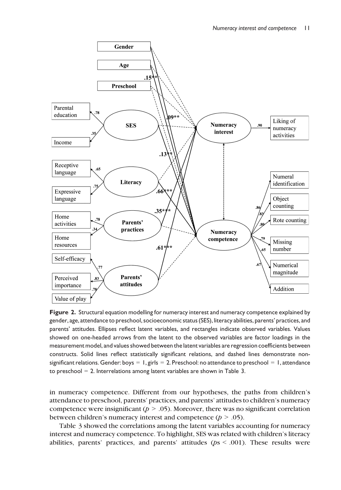

Figure 2. Structural equation modelling for numeracy interest and numeracy competence explained by gender, age, attendance to preschool, socioeconomic status (SES), literacy abilities, parents' practices, and parents' attitudes. Ellipses reflect latent variables, and rectangles indicate observed variables. Values showed on one-headed arrows from the latent to the observed variables are factor loadings in the measurement model, and values showed between the latent variables are regression coefficients between constructs. Solid lines reflect statistically significant relations, and dashed lines demonstrate nonsignificant relations. Gender: boys =  $1$ , girls = 2. Preschool: no attendance to preschool =  $1$ , attendance to preschool  $= 2$ . Interrelations among latent variables are shown in Table 3.

in numeracy competence. Different from our hypotheses, the paths from children's attendance to preschool, parents' practices, and parents' attitudes to children's numeracy competence were insignificant ( $p > .05$ ). Moreover, there was no significant correlation between children's numeracy interest and competence ( $p > .05$ ).

Table 3 showed the correlations among the latent variables accounting for numeracy interest and numeracy competence. To highlight, SES was related with children's literacy abilities, parents' practices, and parents' attitudes ( $ps < .001$ ). These results were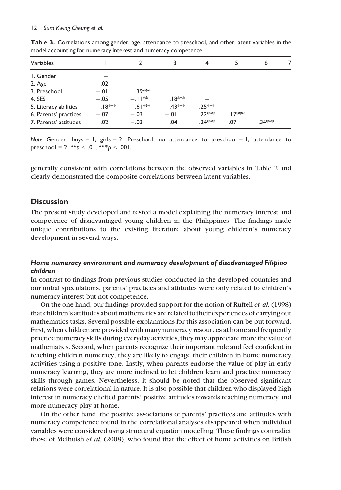| Variables             |           |           |                    | 4      |                    | 6     |  |
|-----------------------|-----------|-----------|--------------------|--------|--------------------|-------|--|
| I. Gender             |           |           |                    |        |                    |       |  |
| 2. Age                | $-.02$    |           |                    |        |                    |       |  |
| 3. Preschool          | $-.01$    | .39 **    |                    |        |                    |       |  |
| 4. SES                | $-.05$    | $-.11***$ | .18 <sup>≉≉≉</sup> |        |                    |       |  |
| 5. Literacy abilities | $-.18***$ | $.61***$  | 43***              | 25**   |                    |       |  |
| 6. Parents' practices | $-.07$    | $-.03$    | $-0.01$            | 22 *** | .17 <sup>≭≉≭</sup> |       |  |
| 7. Parents' attitudes | .02       | $-.03$    | .04                | 24***  | .07                | 34*** |  |

Table 3. Correlations among gender, age, attendance to preschool, and other latent variables in the model accounting for numeracy interest and numeracy competence

Note. Gender: boys = 1, girls = 2. Preschool: no attendance to preschool = 1, attendance to preschool =  $2. *p < 0.01$ ; \*\*\*p < .001.

generally consistent with correlations between the observed variables in Table 2 and clearly demonstrated the composite correlations between latent variables.

# **Discussion**

The present study developed and tested a model explaining the numeracy interest and competence of disadvantaged young children in the Philippines. The findings made unique contributions to the existing literature about young children's numeracy development in several ways.

# Home numeracy environment and numeracy development of disadvantaged Filipino children

In contrast to findings from previous studies conducted in the developed countries and our initial speculations, parents' practices and attitudes were only related to children's numeracy interest but not competence.

On the one hand, our findings provided support for the notion of Ruffell et al. (1998) that children's attitudes about mathematics are related to their experiences of carrying out mathematics tasks. Several possible explanations for this association can be put forward. First, when children are provided with many numeracy resources at home and frequently practice numeracy skills during everyday activities, they may appreciate more the value of mathematics. Second, when parents recognize their important role and feel confident in teaching children numeracy, they are likely to engage their children in home numeracy activities using a positive tone. Lastly, when parents endorse the value of play in early numeracy learning, they are more inclined to let children learn and practice numeracy skills through games. Nevertheless, it should be noted that the observed significant relations were correlational in nature. It is also possible that children who displayed high interest in numeracy elicited parents' positive attitudes towards teaching numeracy and more numeracy play at home.

On the other hand, the positive associations of parents' practices and attitudes with numeracy competence found in the correlational analyses disappeared when individual variables were considered using structural equation modelling. These findings contradict those of Melhuish et al. (2008), who found that the effect of home activities on British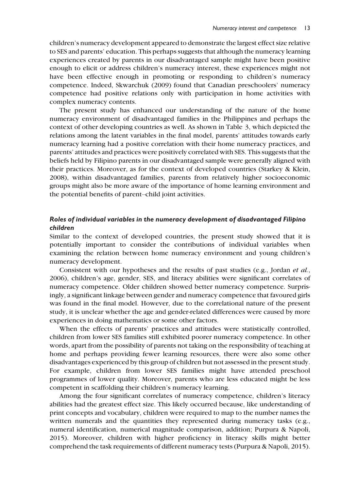children's numeracy development appeared to demonstrate the largest effect size relative to SES and parents' education. This perhaps suggests that although the numeracy learning experiences created by parents in our disadvantaged sample might have been positive enough to elicit or address children's numeracy interest, these experiences might not have been effective enough in promoting or responding to children's numeracy competence. Indeed, Skwarchuk (2009) found that Canadian preschoolers' numeracy competence had positive relations only with participation in home activities with complex numeracy contents.

The present study has enhanced our understanding of the nature of the home numeracy environment of disadvantaged families in the Philippines and perhaps the context of other developing countries as well. As shown in Table 3, which depicted the relations among the latent variables in the final model, parents' attitudes towards early numeracy learning had a positive correlation with their home numeracy practices, and parents' attitudes and practices were positively correlated with SES. This suggests that the beliefs held by Filipino parents in our disadvantaged sample were generally aligned with their practices. Moreover, as for the context of developed countries (Starkey & Klein, 2008), within disadvantaged families, parents from relatively higher socioeconomic groups might also be more aware of the importance of home learning environment and the potential benefits of parent–child joint activities.

# Roles of individual variables in the numeracy development of disadvantaged Filipino children

Similar to the context of developed countries, the present study showed that it is potentially important to consider the contributions of individual variables when examining the relation between home numeracy environment and young children's numeracy development.

Consistent with our hypotheses and the results of past studies (e.g., Jordan et al., 2006), children's age, gender, SES, and literacy abilities were significant correlates of numeracy competence. Older children showed better numeracy competence. Surprisingly, a significant linkage between gender and numeracy competence that favoured girls was found in the final model. However, due to the correlational nature of the present study, it is unclear whether the age and gender-related differences were caused by more experiences in doing mathematics or some other factors.

When the effects of parents' practices and attitudes were statistically controlled, children from lower SES families still exhibited poorer numeracy competence. In other words, apart from the possibility of parents not taking on the responsibility of teaching at home and perhaps providing fewer learning resources, there were also some other disadvantages experienced by this group of children but not assessed in the present study. For example, children from lower SES families might have attended preschool programmes of lower quality. Moreover, parents who are less educated might be less competent in scaffolding their children's numeracy learning.

Among the four significant correlates of numeracy competence, children's literacy abilities had the greatest effect size. This likely occurred because, like understanding of print concepts and vocabulary, children were required to map to the number names the written numerals and the quantities they represented during numeracy tasks (e.g., numeral identification, numerical magnitude comparison, addition; Purpura & Napoli, 2015). Moreover, children with higher proficiency in literacy skills might better comprehend the task requirements of different numeracy tests (Purpura & Napoli, 2015).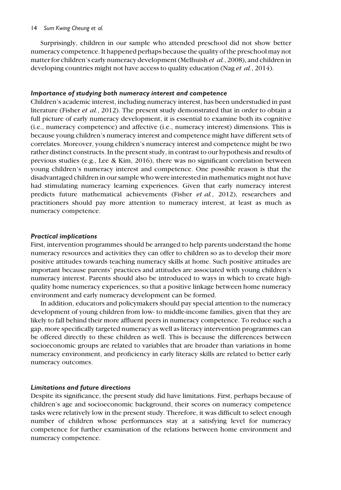#### 14 Sum Kwing Cheung et al.

Surprisingly, children in our sample who attended preschool did not show better numeracy competence. It happened perhaps because the quality of the preschool may not matter for children's early numeracy development (Melhuish et al., 2008), and children in developing countries might not have access to quality education (Nag *et al.*, 2014).

#### Importance of studying both numeracy interest and competence

Children's academic interest, including numeracy interest, has been understudied in past literature (Fisher et al., 2012). The present study demonstrated that in order to obtain a full picture of early numeracy development, it is essential to examine both its cognitive (i.e., numeracy competence) and affective (i.e., numeracy interest) dimensions. This is because young children's numeracy interest and competence might have different sets of correlates. Moreover, young children's numeracy interest and competence might be two rather distinct constructs. In the present study, in contrast to our hypothesis and results of previous studies (e.g., Lee & Kim, 2016), there was no significant correlation between young children's numeracy interest and competence. One possible reason is that the disadvantaged children in our sample who were interested in mathematics might not have had stimulating numeracy learning experiences. Given that early numeracy interest predicts future mathematical achievements (Fisher et al., 2012), researchers and practitioners should pay more attention to numeracy interest, at least as much as numeracy competence.

#### Practical implications

First, intervention programmes should be arranged to help parents understand the home numeracy resources and activities they can offer to children so as to develop their more positive attitudes towards teaching numeracy skills at home. Such positive attitudes are important because parents' practices and attitudes are associated with young children's numeracy interest. Parents should also be introduced to ways in which to create highquality home numeracy experiences, so that a positive linkage between home numeracy environment and early numeracy development can be formed.

In addition, educators and policymakers should pay special attention to the numeracy development of young children from low- to middle-income families, given that they are likely to fall behind their more affluent peers in numeracy competence. To reduce such a gap, more specifically targeted numeracy as well as literacy intervention programmes can be offered directly to these children as well. This is because the differences between socioeconomic groups are related to variables that are broader than variations in home numeracy environment, and proficiency in early literacy skills are related to better early numeracy outcomes.

#### Limitations and future directions

Despite its significance, the present study did have limitations. First, perhaps because of children's age and socioeconomic background, their scores on numeracy competence tasks were relatively low in the present study. Therefore, it was difficult to select enough number of children whose performances stay at a satisfying level for numeracy competence for further examination of the relations between home environment and numeracy competence.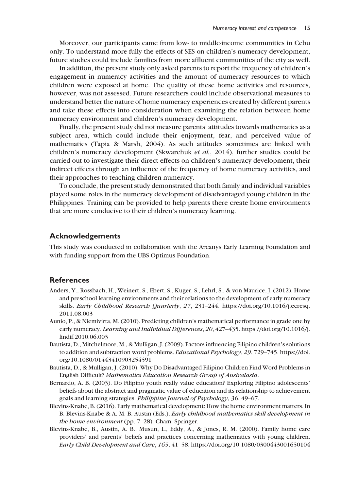Moreover, our participants came from low- to middle-income communities in Cebu only. To understand more fully the effects of SES on children's numeracy development, future studies could include families from more affluent communities of the city as well.

In addition, the present study only asked parents to report the frequency of children's engagement in numeracy activities and the amount of numeracy resources to which children were exposed at home. The quality of these home activities and resources, however, was not assessed. Future researchers could include observational measures to understand better the nature of home numeracy experiences created by different parents and take these effects into consideration when examining the relation between home numeracy environment and children's numeracy development.

Finally, the present study did not measure parents' attitudes towards mathematics as a subject area, which could include their enjoyment, fear, and perceived value of mathematics (Tapia & Marsh, 2004). As such attitudes sometimes are linked with children's numeracy development (Skwarchuk et al., 2014), further studies could be carried out to investigate their direct effects on children's numeracy development, their indirect effects through an influence of the frequency of home numeracy activities, and their approaches to teaching children numeracy.

To conclude, the present study demonstrated that both family and individual variables played some roles in the numeracy development of disadvantaged young children in the Philippines. Training can be provided to help parents there create home environments that are more conducive to their children's numeracy learning.

#### Acknowledgements

This study was conducted in collaboration with the Arcanys Early Learning Foundation and with funding support from the UBS Optimus Foundation.

#### **References**

- Anders, Y., Rossbach, H., Weinert, S., Ebert, S., Kuger, S., Lehrl, S., & von Maurice, J. (2012). Home and preschool learning environments and their relations to the development of early numeracy skills. Early Childhood Research Quarterly, 27, 231–244. [https://doi.org/10.1016/j.ecresq.](https://doi.org/10.1016/j.ecresq.2011.08.003) [2011.08.003](https://doi.org/10.1016/j.ecresq.2011.08.003)
- Aunio, P., & Niemivirta, M. (2010). Predicting children's mathematical performance in grade one by early numeracy. Learning and Individual Differences, 20, 427–435. [https://doi.org/10.1016/j.](https://doi.org/10.1016/j.lindif.2010.06.003) [lindif.2010.06.003](https://doi.org/10.1016/j.lindif.2010.06.003)
- Bautista, D., Mitchelmore, M., & Mulligan, J. (2009). Factors influencing Filipino children's solutions to addition and subtraction word problems. *Educational Psychology*, 29, 729–745. [https://doi.](https://doi.org/10.1080/01443410903254591) [org/10.1080/01443410903254591](https://doi.org/10.1080/01443410903254591)
- Bautista, D., & Mulligan, J. (2010). Why Do Disadvantaged Filipino Children Find Word Problems in English Difficult? Mathematics Education Research Group of Australasia.
- Bernardo, A. B. (2003). Do Filipino youth really value education? Exploring Filipino adolescents' beliefs about the abstract and pragmatic value of education and its relationship to achievement goals and learning strategies. Philippine Journal of Psychology, 36, 49–67.
- Blevins-Knabe, B. (2016). Early mathematical development: How the home environment matters. In B. Blevins-Knabe & A. M. B. Austin (Eds.), Early childhood mathematics skill development in the home environment (pp. 7–28). Cham: Springer.
- Blevins-Knabe, B., Austin, A. B., Musun, L., Eddy, A., & Jones, R. M. (2000). Family home care providers' and parents' beliefs and practices concerning mathematics with young children. Early Child Development and Care, 165, 41–58.<https://doi.org/10.1080/0300443001650104>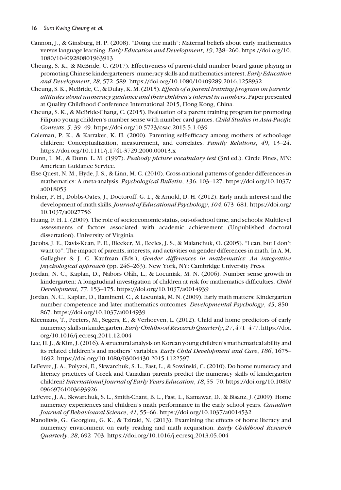- Cannon, J., & Ginsburg, H. P. (2008). "Doing the math": Maternal beliefs about early mathematics versus language learning. Early Education and Development, 19, 238–260. [https://doi.org/10.](https://doi.org/10.1080/10409280801963913) [1080/10409280801963913](https://doi.org/10.1080/10409280801963913)
- Cheung, S. K., & McBride, C. (2017). Effectiveness of parent-child number board game playing in promoting Chinese kindergarteners' numeracy skills and mathematics interest. Early Education and Development, 28, 572–589.<https://doi.org/10.1080/10409289.2016.1258932>
- Cheung, S. K., McBride, C., & Dulay, K. M. (2015). Effects of a parent training program on parents' attitudes about numeracy guidance and their children's interest in numbers. Paper presented at Quality Childhood Conference International 2015, Hong Kong, China.
- Cheung, S. K., & McBride-Chang, C. (2015). Evaluation of a parent training program for promoting Filipino young children's number sense with number card games. Child Studies in Asia-Pacific Contexts, 5, 39–49.<https://doi.org/10.5723/csac.2015.5.1.039>
- Coleman, P. K., & Karraker, K. H. (2000). Parenting self-efficacy among mothers of school-age children: Conceptualization, measurement, and correlates. Family Relations, 49, 13-24. <https://doi.org/10.1111/j.1741-3729.2000.00013.x>
- Dunn, L. M., & Dunn, L. M. (1997). Peabody picture vocabulary test (3rd ed.). Circle Pines, MN: American Guidance Service.
- Else-Quest, N. M., Hyde, J. S., & Linn, M. C. (2010). Cross-national patterns of gender differences in mathematics: A meta-analysis. Psychological Bulletin, 136, 103–127. [https://doi.org/10.1037/](https://doi.org/10.1037/a0018053) [a0018053](https://doi.org/10.1037/a0018053)
- Fisher, P. H., Dobbs-Oates, J., Doctoroff, G. L., & Arnold, D. H. (2012). Early math interest and the development of math skills.Journal of Educational Psychology, 104, 673–681. [https://doi.org/](https://doi.org/10.1037/a0027756) [10.1037/a0027756](https://doi.org/10.1037/a0027756)
- Huang, F. H. L. (2009). The role of socioeconomic status, out-of-school time, and schools: Multilevel assessments of factors associated with academic achievement (Unpublished doctoral dissertation). University of Virginia.
- Jacobs, J. E., Davis-Kean, P. E., Bleeker, M., Eccles, J. S., & Malanchuk, O. (2005). "I can, but I don't want to": The impact of parents, interests, and activities on gender differences in math. In A. M. Gallagher & J. C. Kaufman (Eds.), Gender differences in mathematics: An integrative psychological approach (pp. 246–263). New York, NY: Cambridge University Press.
- Jordan, N. C., Kaplan, D., Nabors Oláh, L., & Locuniak, M. N. (2006). Number sense growth in kindergarten: A longitudinal investigation of children at risk for mathematics difficulties. Child Development, 77, 153–175.<https://doi.org/10.1037/a0014939>
- Jordan, N. C., Kaplan, D., Ramineni, C., & Locuniak, M. N. (2009). Early math matters: Kindergarten number competence and later mathematics outcomes. Developmental Psychology, 45, 850– 867.<https://doi.org/10.1037/a0014939>
- Kleemans, T., Peeters, M., Segers, E., & Verhoeven, L. (2012). Child and home predictors of early numeracy skills in kindergarten. Early Childhood Research Quarterly, 27, 471–477. [https://doi.](https://doi.org/10.1016/j.ecresq.2011.12.004) [org/10.1016/j.ecresq.2011.12.004](https://doi.org/10.1016/j.ecresq.2011.12.004)
- Lee, H. J., & Kim, J. (2016). A structural analysis on Korean young children's mathematical ability and its related children's and mothers' variables. Early Child Development and Care, 186, 1675– 1692.<https://doi.org/10.1080/03004430.2015.1122597>
- LeFevre, J. A., Polyzoi, E., Skwarchuk, S. L., Fast, L., & Sowinski, C. (2010). Do home numeracy and literacy practices of Greek and Canadian parents predict the numeracy skills of kindergarten children?International Journal of Early Years Education, 18, 55–70. [https://doi.org/10.1080/](https://doi.org/10.1080/09669761003693926) [09669761003693926](https://doi.org/10.1080/09669761003693926)
- LeFevre, J. A., Skwarchuk, S. L., Smith-Chant, B. L., Fast, L., Kamawar, D., & Bisanz, J. (2009). Home numeracy experiences and children's math performance in the early school years. Canadian Journal of Behavioural Science, 41, 55–66.<https://doi.org/10.1037/a0014532>
- Manolitsis, G., Georgiou, G. K., & Tziraki, N. (2013). Examining the effects of home literacy and numeracy environment on early reading and math acquisition. Early Childhood Research Quarterly, 28, 692–703.<https://doi.org/10.1016/j.ecresq.2013.05.004>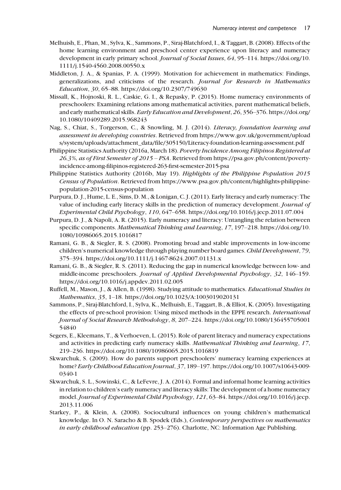- Melhuish, E., Phan, M., Sylva, K., Sammons, P., Siraj-Blatchford, I., & Taggart, B. (2008). Effects of the home learning environment and preschool center experience upon literacy and numeracy development in early primary school. Journal of Social Issues, 64, 95–114. [https://doi.org/10.](https://doi.org/10.1111/j.1540-4560.2008.00550.x) [1111/j.1540-4560.2008.00550.x](https://doi.org/10.1111/j.1540-4560.2008.00550.x)
- Middleton, J. A., & Spanias, P. A. (1999). Motivation for achievement in mathematics: Findings, generalizations, and criticisms of the research. Journal for Research in Mathematics Education, 30, 65–88.<https://doi.org/10.2307/749630>
- Missall, K., Hojnoski, R. L., Caskie, G. I., & Repasky, P. (2015). Home numeracy environments of preschoolers: Examining relations among mathematical activities, parent mathematical beliefs, and early mathematical skills. Early Education and Development, 26, 356–376. [https://doi.org/](https://doi.org/10.1080/10409289.2015.968243) [10.1080/10409289.2015.968243](https://doi.org/10.1080/10409289.2015.968243)
- Nag, S., Chiat, S., Torgerson, C., & Snowling, M. J. (2014). Literacy, foundation learning and assessment in developing countries. Retrieved from [https://www.gov.uk/government/upload](https://www.gov.uk/government/uploads/system/uploads/attachment_data/file/305150/Literacy-foundation-learning-assessment.pdf) [s/system/uploads/attachment\\_data/file/305150/Literacy-foundation-learning-assessment.pdf](https://www.gov.uk/government/uploads/system/uploads/attachment_data/file/305150/Literacy-foundation-learning-assessment.pdf)
- Philippine Statistics Authority (2016a, March 18). Poverty Incidence Among Filipinos Registered at 26.3%, as of First Semester of 2015 – PSA. Retrieved from [https://psa.gov.ph/content/poverty](https://psa.gov.ph/content/poverty-incidence-among-filipinos-registered-263-first-semester-2015-psa)[incidence-among-filipinos-registered-263-first-semester-2015-psa](https://psa.gov.ph/content/poverty-incidence-among-filipinos-registered-263-first-semester-2015-psa)
- Philippine Statistics Authority (2016b, May 19). Highlights of the Philippine Population 2015 Census of Population. Retrieved from [https://www.psa.gov.ph/content/highlights-philippine](https://www.psa.gov.ph/content/highlights-philippine-population-2015-census-population)[population-2015-census-population](https://www.psa.gov.ph/content/highlights-philippine-population-2015-census-population)
- Purpura, D. J., Hume, L. E., Sims, D. M., & Lonigan, C. J. (2011). Early literacy and early numeracy: The value of including early literacy skills in the prediction of numeracy development. Journal of Experimental Child Psychology, 110, 647–658.<https://doi.org/10.1016/j.jecp.2011.07.004>
- Purpura, D. J., & Napoli, A. R. (2015). Early numeracy and literacy: Untangling the relation between specific components. Mathematical Thinking and Learning, 17, 197–218. [https://doi.org/10.](https://doi.org/10.1080/10986065.2015.1016817) [1080/10986065.2015.1016817](https://doi.org/10.1080/10986065.2015.1016817)
- Ramani, G. B., & Siegler, R. S. (2008). Promoting broad and stable improvements in low-income children's numerical knowledge through playing number board games. Child Development, 79, 375–394.<https://doi.org/10.1111/j.1467-8624.2007.01131.x>
- Ramani, G. B., & Siegler, R. S. (2011). Reducing the gap in numerical knowledge between low- and middle-income preschoolers. Journal of Applied Developmental Psychology, 32, 146–159. <https://doi.org/10.1016/j.appdev.2011.02.005>
- Ruffell, M., Mason, J., & Allen, B. (1998). Studying attitude to mathematics. Educational Studies in Mathematics, 35, 1–18.<https://doi.org/10.1023/A:1003019020131>
- Sammons, P., Siraj-Blatchford, I., Sylva, K., Melhuish, E., Taggart, B., & Elliot, K. (2005). Investigating the effects of pre-school provision: Using mixed methods in the EPPE research. International Journal of Social Research Methodology, 8, 207–224. [https://doi.org/10.1080/136455705001](https://doi.org/10.1080/13645570500154840) [54840](https://doi.org/10.1080/13645570500154840)
- Segers, E., Kleemans, T., & Verhoeven, L. (2015). Role of parent literacy and numeracy expectations and activities in predicting early numeracy skills. Mathematical Thinking and Learning, 17, 219–236.<https://doi.org/10.1080/10986065.2015.1016819>
- Skwarchuk, S. (2009). How do parents support preschoolers' numeracy learning experiences at home? Early Childhood Education Journal, 37, 189–197. [https://doi.org/10.1007/s10643-009-](https://doi.org/10.1007/s10643-009-0340-1) [0340-1](https://doi.org/10.1007/s10643-009-0340-1)
- Skwarchuk, S. L., Sowinski, C., & LeFevre, J. A. (2014). Formal and informal home learning activities in relation to children's early numeracy and literacy skills: The development of a home numeracy model. Journal of Experimental Child Psychology, 121, 63–84. [https://doi.org/10.1016/j.jecp.](https://doi.org/10.1016/j.jecp.2013.11.006) [2013.11.006](https://doi.org/10.1016/j.jecp.2013.11.006)
- Starkey, P., & Klein, A. (2008). Sociocultural influences on young children's mathematical knowledge. In O. N. Saracho & B. Spodek (Eds.), Contemporary perspectives on mathematics in early childhood education (pp. 253-276). Charlotte, NC: Information Age Publishing.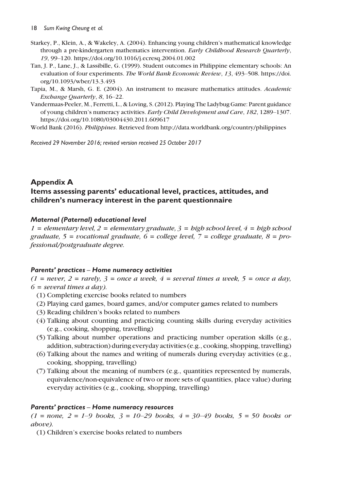- Starkey, P., Klein, A., & Wakeley, A. (2004). Enhancing young children's mathematical knowledge through a pre-kindergarten mathematics intervention. Early Childhood Research Quarterly, 19, 99–120.<https://doi.org/10.1016/j.ecresq.2004.01.002>
- Tan, J. P., Lane, J., & Lassibille, G. (1999). Student outcomes in Philippine elementary schools: An evaluation of four experiments. The World Bank Economic Review, 13, 493–508. [https://doi.](https://doi.org/10.1093/wber/13.3.493) [org/10.1093/wber/13.3.493](https://doi.org/10.1093/wber/13.3.493)
- Tapia, M., & Marsh, G. E. (2004). An instrument to measure mathematics attitudes. Academic Exchange Quarterly, 8, 16–22.
- Vandermaas-Peeler, M., Ferretti, L., & Loving, S. (2012). Playing The Ladybug Game: Parent guidance of young children's numeracy activities. Early Child Development and Care, 182, 1289–1307. <https://doi.org/10.1080/03004430.2011.609617>

World Bank (2016). Philippines. Retrieved from<http://data.worldbank.org/country/philippines>

Received 29 November 2016; revised version received 25 October 2017

# Appendix A

# Items assessing parents' educational level, practices, attitudes, and children's numeracy interest in the parent questionnaire

# Maternal (Paternal) educational level

1 = elementary level, 2 = elementary graduate, 3 = high school level, 4 = high school graduate,  $5 = *vocational* gradient,  $6 =$  college level,  $7 =$  college graduate,  $8 =$  pro$ fessional/postgraduate degree.

# Parents' practices – Home numeracy activities

(1 = never, 2 = rarely, 3 = once a week, 4 = several times a week, 5 = once a day,  $6$  = several times a day).

- (1) Completing exercise books related to numbers
- (2) Playing card games, board games, and/or computer games related to numbers
- (3) Reading children's books related to numbers
- (4) Talking about counting and practicing counting skills during everyday activities (e.g., cooking, shopping, travelling)
- (5) Talking about number operations and practicing number operation skills (e.g., addition, subtraction) during everyday activities (e.g., cooking, shopping, travelling)
- (6) Talking about the names and writing of numerals during everyday activities (e.g., cooking, shopping, travelling)
- (7) Talking about the meaning of numbers (e.g., quantities represented by numerals, equivalence/non-equivalence of two or more sets of quantities, place value) during everyday activities (e.g., cooking, shopping, travelling)

### Parents' practices – Home numeracy resources

 $(1 = none, 2 = 1-9 \text{ books}, 3 = 10-29 \text{books}, 4 = 30-49 \text{books}, 5 = 50 \text{books} \text{or}$ above).

(1) Children's exercise books related to numbers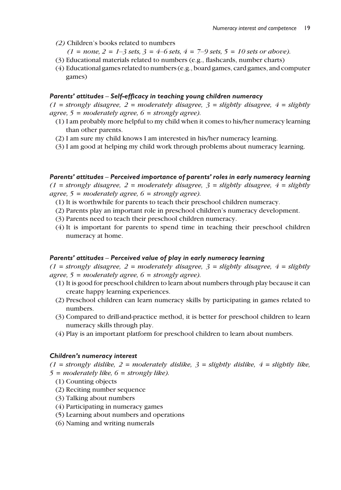- (2) Children's books related to numbers
	- $(1 = none, 2 = 1-3 \text{ sets}, 3 = 4-6 \text{ sets}, 4 = 7-9 \text{ sets}, 5 = 10 \text{ sets or above}).$
- (3) Educational materials related to numbers (e.g., flashcards, number charts)
- (4) Educational games related to numbers (e.g., board games, card games, and computer games)

#### Parents' attitudes – Self-efficacy in teaching young children numeracy

 $(1 = strongly disagree, 2 = moderately disagree, 3 = slightly disagree, 4 = slightly)$ agree,  $5 =$  moderately agree,  $6 =$  strongly agree).

- (1) I am probably more helpful to my child when it comes to his/her numeracy learning than other parents.
- (2) I am sure my child knows I am interested in his/her numeracy learning.
- (3) I am good at helping my child work through problems about numeracy learning.

Parents' attitudes – Perceived importance of parents' roles in early numeracy learning  $(1 = strongly disagree, 2 = moderately disagree, 3 = slightly disagree, 4 = slightly)$ agree,  $5 =$  moderately agree,  $6 =$  strongly agree).

- (1) It is worthwhile for parents to teach their preschool children numeracy.
- (2) Parents play an important role in preschool children's numeracy development.
- (3) Parents need to teach their preschool children numeracy.
- (4) It is important for parents to spend time in teaching their preschool children numeracy at home.

#### Parents' attitudes – Perceived value of play in early numeracy learning

 $(1 = strongly disagree, 2 = moderately disagree, 3 = slightly disagree, 4 = slightly)$ agree,  $5 =$  moderately agree,  $6 =$  strongly agree).

- (1) It is good for preschool children to learn about numbers through play because it can create happy learning experiences.
- (2) Preschool children can learn numeracy skills by participating in games related to numbers.
- (3) Compared to drill-and-practice method, it is better for preschool children to learn numeracy skills through play.
- (4) Play is an important platform for preschool children to learn about numbers.

#### Children's numeracy interest

 $(1 = strongly \, \textit{dislike}, \, 2 = \textit{moderately} \, \textit{dislike}, \, 3 = \textit{slightly} \, \textit{disle}, \, 4 = \textit{slightly} \, \textit{like},$  $5 =$  moderately like,  $6 =$  strongly like).

- (1) Counting objects
- (2) Reciting number sequence
- (3) Talking about numbers
- (4) Participating in numeracy games
- (5) Learning about numbers and operations
- (6) Naming and writing numerals